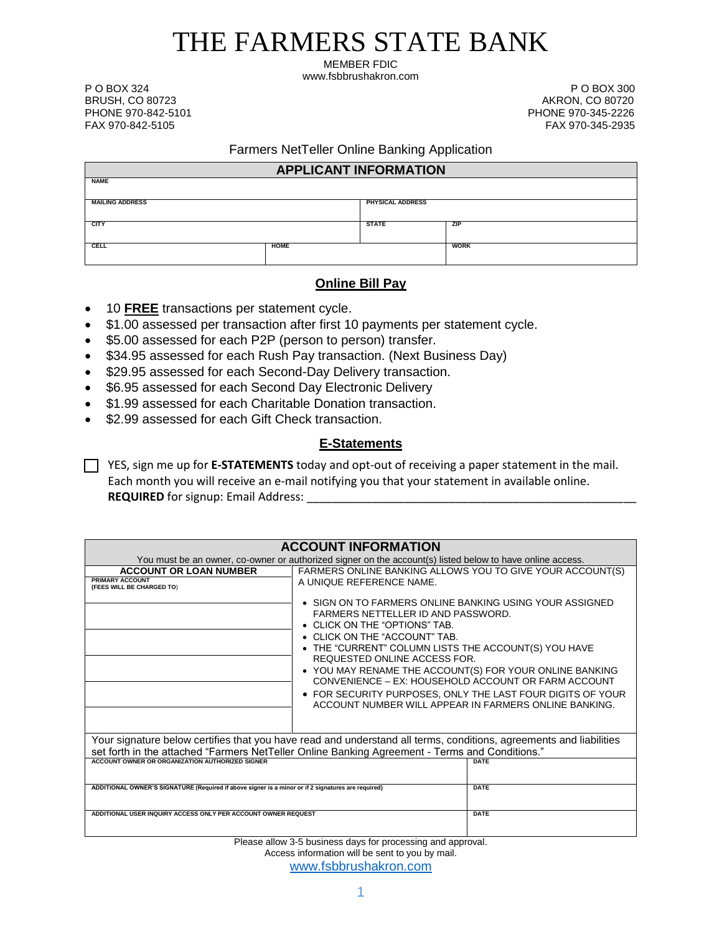# THE FARMERS STATE BANK

MEMBER FDIC www.fsbbrushakron.com

P O BOX 324 P O BOX 300

BRUSH, CO 80723 AKRON, CO 80720 PHONE 970-842-5101 PHONE 970-345-2226 FAX 970-345-2935

# Farmers NetTeller Online Banking Application

| <b>APPLICANT INFORMATION</b> |             |                  |             |  |
|------------------------------|-------------|------------------|-------------|--|
| <b>NAME</b>                  |             |                  |             |  |
| <b>MAILING ADDRESS</b>       |             | PHYSICAL ADDRESS |             |  |
|                              |             |                  |             |  |
| <b>CITY</b>                  |             | <b>STATE</b>     | <b>ZIP</b>  |  |
| CELL                         | <b>HOME</b> |                  | <b>WORK</b> |  |
|                              |             |                  |             |  |

# **Online Bill Pay**

- 10 **FREE** transactions per statement cycle.
- \$1.00 assessed per transaction after first 10 payments per statement cycle.
- \$5.00 assessed for each P2P (person to person) transfer.
- \$34.95 assessed for each Rush Pay transaction. (Next Business Day)
- \$29.95 assessed for each Second-Day Delivery transaction.
- \$6.95 assessed for each Second Day Electronic Delivery
- \$1.99 assessed for each Charitable Donation transaction.
- \$2.99 assessed for each Gift Check transaction.

# **E-Statements**

YES, sign me up for **E-STATEMENTS** today and opt-out of receiving a paper statement in the mail. Each month you will receive an e-mail notifying you that your statement in available online. **REQUIRED** for signup: Email Address:

| <b>ACCOUNT INFORMATION</b>                                                                                         |                                                                                                                                                                                                                                                                                                                                                                                                                                                                                                        |             |  |  |
|--------------------------------------------------------------------------------------------------------------------|--------------------------------------------------------------------------------------------------------------------------------------------------------------------------------------------------------------------------------------------------------------------------------------------------------------------------------------------------------------------------------------------------------------------------------------------------------------------------------------------------------|-------------|--|--|
| You must be an owner, co-owner or authorized signer on the account(s) listed below to have online access.          |                                                                                                                                                                                                                                                                                                                                                                                                                                                                                                        |             |  |  |
| <b>ACCOUNT OR LOAN NUMBER</b>                                                                                      | FARMERS ONLINE BANKING ALLOWS YOU TO GIVE YOUR ACCOUNT(S)                                                                                                                                                                                                                                                                                                                                                                                                                                              |             |  |  |
| <b>PRIMARY ACCOUNT</b><br>(FEES WILL BE CHARGED TO)                                                                | A UNIQUE REFERENCE NAME.                                                                                                                                                                                                                                                                                                                                                                                                                                                                               |             |  |  |
|                                                                                                                    | $\bullet$ SIGN ON TO FARMERS ONLINE BANKING USING YOUR ASSIGNED<br>FARMERS NETTELLER ID AND PASSWORD.<br>• CLICK ON THE "OPTIONS" TAB.<br>• CLICK ON THE "ACCOUNT" TAB.<br>THE "CURRENT" COLUMN LISTS THE ACCOUNT(S) YOU HAVE<br>REQUESTED ONLINE ACCESS FOR.<br>• YOU MAY RENAME THE ACCOUNT(S) FOR YOUR ONLINE BANKING<br>CONVENIENCE - EX: HOUSEHOLD ACCOUNT OR FARM ACCOUNT<br>• FOR SECURITY PURPOSES, ONLY THE LAST FOUR DIGITS OF YOUR<br>ACCOUNT NUMBER WILL APPEAR IN FARMERS ONLINE BANKING. |             |  |  |
| Your signature below certifies that you have read and understand all terms, conditions, agreements and liabilities |                                                                                                                                                                                                                                                                                                                                                                                                                                                                                                        |             |  |  |
| set forth in the attached "Farmers NetTeller Online Banking Agreement - Terms and Conditions."                     |                                                                                                                                                                                                                                                                                                                                                                                                                                                                                                        |             |  |  |
| ACCOUNT OWNER OR ORGANIZATION AUTHORIZED SIGNER                                                                    |                                                                                                                                                                                                                                                                                                                                                                                                                                                                                                        | DATE        |  |  |
| ADDITIONAL OWNER'S SIGNATURE (Required if above signer is a minor or if 2 signatures are required)                 |                                                                                                                                                                                                                                                                                                                                                                                                                                                                                                        | <b>DATE</b> |  |  |
| ADDITIONAL USER INQUIRY ACCESS ONLY PER ACCOUNT OWNER REQUEST                                                      |                                                                                                                                                                                                                                                                                                                                                                                                                                                                                                        | <b>DATE</b> |  |  |
|                                                                                                                    | Dissas allau O.F. kushasaa daua farmaasasahan sud summuni l                                                                                                                                                                                                                                                                                                                                                                                                                                            |             |  |  |

Please allow 3-5 business days for processing and approval. Access information will be sent to you by mail. [www.fsbbrushakron.com](http://www.fsbbrushakron.com/)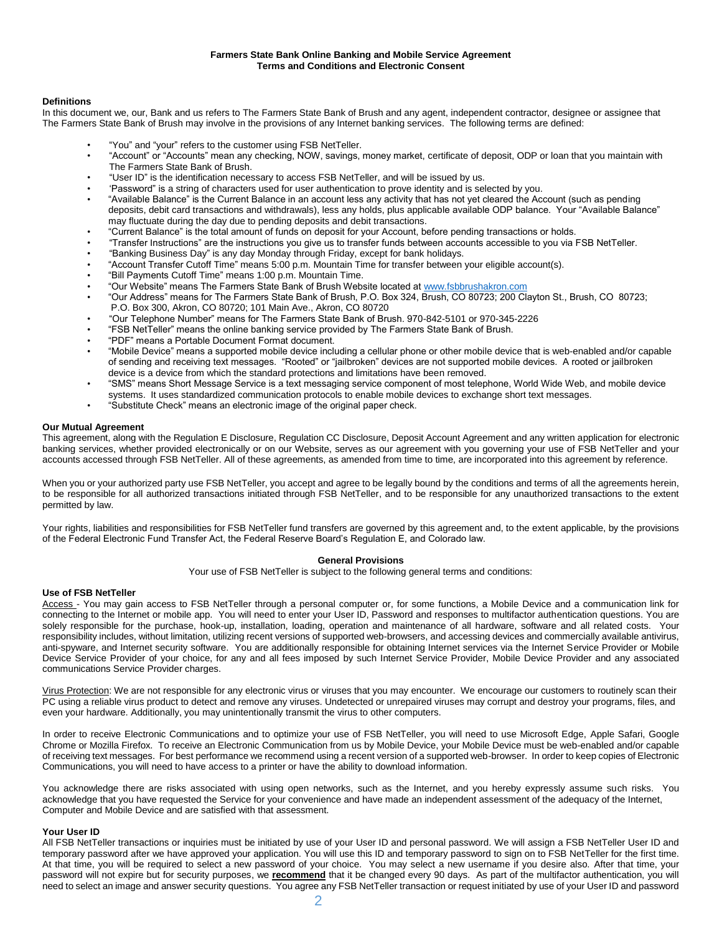#### **Farmers State Bank Online Banking and Mobile Service Agreement Terms and Conditions and Electronic Consent**

#### **Definitions**

In this document we, our, Bank and us refers to The Farmers State Bank of Brush and any agent, independent contractor, designee or assignee that The Farmers State Bank of Brush may involve in the provisions of any Internet banking services. The following terms are defined:

- "You" and "your" refers to the customer using FSB NetTeller.
- "Account" or "Accounts" mean any checking, NOW, savings, money market, certificate of deposit, ODP or loan that you maintain with The Farmers State Bank of Brush.
- "User ID" is the identification necessary to access FSB NetTeller, and will be issued by us.
- 'Password" is a string of characters used for user authentication to prove identity and is selected by you.
- "Available Balance" is the Current Balance in an account less any activity that has not yet cleared the Account (such as pending deposits, debit card transactions and withdrawals), less any holds, plus applicable available ODP balance. Your "Available Balance" may fluctuate during the day due to pending deposits and debit transactions.
- "Current Balance" is the total amount of funds on deposit for your Account, before pending transactions or holds.
- "Transfer Instructions" are the instructions you give us to transfer funds between accounts accessible to you via FSB NetTeller.
- "Banking Business Day" is any day Monday through Friday, except for bank holidays.
- "Account Transfer Cutoff Time" means 5:00 p.m. Mountain Time for transfer between your eligible account(s).
- "Bill Payments Cutoff Time" means 1:00 p.m. Mountain Time.
- "Our Website" means The Farmers State Bank of Brush Website located a[t www.fsbbrushakron.com](http://www.fsbbrushakron.com/)
- "Our Address" means for The Farmers State Bank of Brush, P.O. Box 324, Brush, CO 80723; 200 Clayton St., Brush, CO 80723; P.O. Box 300, Akron, CO 80720; 101 Main Ave., Akron, CO 80720
- "Our Telephone Number" means for The Farmers State Bank of Brush. 970-842-5101 or 970-345-2226
- "FSB NetTeller" means the online banking service provided by The Farmers State Bank of Brush.
- "PDF" means a Portable Document Format document.
- "Mobile Device" means a supported mobile device including a cellular phone or other mobile device that is web-enabled and/or capable of sending and receiving text messages. "Rooted" or "jailbroken" devices are not supported mobile devices. A rooted or jailbroken device is a device from which the standard protections and limitations have been removed.
- "SMS" means Short Message Service is a text messaging service component of most telephone, World Wide Web, and mobile device
- systems. It uses standardized communication protocols to enable mobile devices to exchange short text messages.
- "Substitute Check" means an electronic image of the original paper check.

#### **Our Mutual Agreement**

This agreement, along with the Regulation E Disclosure, Regulation CC Disclosure, Deposit Account Agreement and any written application for electronic banking services, whether provided electronically or on our Website, serves as our agreement with you governing your use of FSB NetTeller and your accounts accessed through FSB NetTeller. All of these agreements, as amended from time to time, are incorporated into this agreement by reference.

When you or your authorized party use FSB NetTeller, you accept and agree to be legally bound by the conditions and terms of all the agreements herein, to be responsible for all authorized transactions initiated through FSB NetTeller, and to be responsible for any unauthorized transactions to the extent permitted by law.

Your rights, liabilities and responsibilities for FSB NetTeller fund transfers are governed by this agreement and, to the extent applicable, by the provisions of the Federal Electronic Fund Transfer Act, the Federal Reserve Board's Regulation E, and Colorado law.

#### **General Provisions**

Your use of FSB NetTeller is subject to the following general terms and conditions:

#### **Use of FSB NetTeller**

Access - You may gain access to FSB NetTeller through a personal computer or, for some functions, a Mobile Device and a communication link for connecting to the Internet or mobile app. You will need to enter your User ID, Password and responses to multifactor authentication questions. You are solely responsible for the purchase, hook-up, installation, loading, operation and maintenance of all hardware, software and all related costs. Your responsibility includes, without limitation, utilizing recent versions of supported web-browsers, and accessing devices and commercially available antivirus, anti-spyware, and Internet security software. You are additionally responsible for obtaining Internet services via the Internet Service Provider or Mobile Device Service Provider of your choice, for any and all fees imposed by such Internet Service Provider, Mobile Device Provider and any associated communications Service Provider charges.

Virus Protection: We are not responsible for any electronic virus or viruses that you may encounter. We encourage our customers to routinely scan their PC using a reliable virus product to detect and remove any viruses. Undetected or unrepaired viruses may corrupt and destroy your programs, files, and even your hardware. Additionally, you may unintentionally transmit the virus to other computers.

In order to receive Electronic Communications and to optimize your use of FSB NetTeller, you will need to use Microsoft Edge, Apple Safari, Google Chrome or Mozilla Firefox. To receive an Electronic Communication from us by Mobile Device, your Mobile Device must be web-enabled and/or capable of receiving text messages. For best performance we recommend using a recent version of a supported web-browser. In order to keep copies of Electronic Communications, you will need to have access to a printer or have the ability to download information.

You acknowledge there are risks associated with using open networks, such as the Internet, and you hereby expressly assume such risks. You acknowledge that you have requested the Service for your convenience and have made an independent assessment of the adequacy of the Internet, Computer and Mobile Device and are satisfied with that assessment.

#### **Your User ID**

All FSB NetTeller transactions or inquiries must be initiated by use of your User ID and personal password. We will assign a FSB NetTeller User ID and temporary password after we have approved your application. You will use this ID and temporary password to sign on to FSB NetTeller for the first time. At that time, you will be required to select a new password of your choice. You may select a new username if you desire also. After that time, your password will not expire but for security purposes, we **recommend** that it be changed every 90 days. As part of the multifactor authentication, you will need to select an image and answer security questions. You agree any FSB NetTeller transaction or request initiated by use of your User ID and password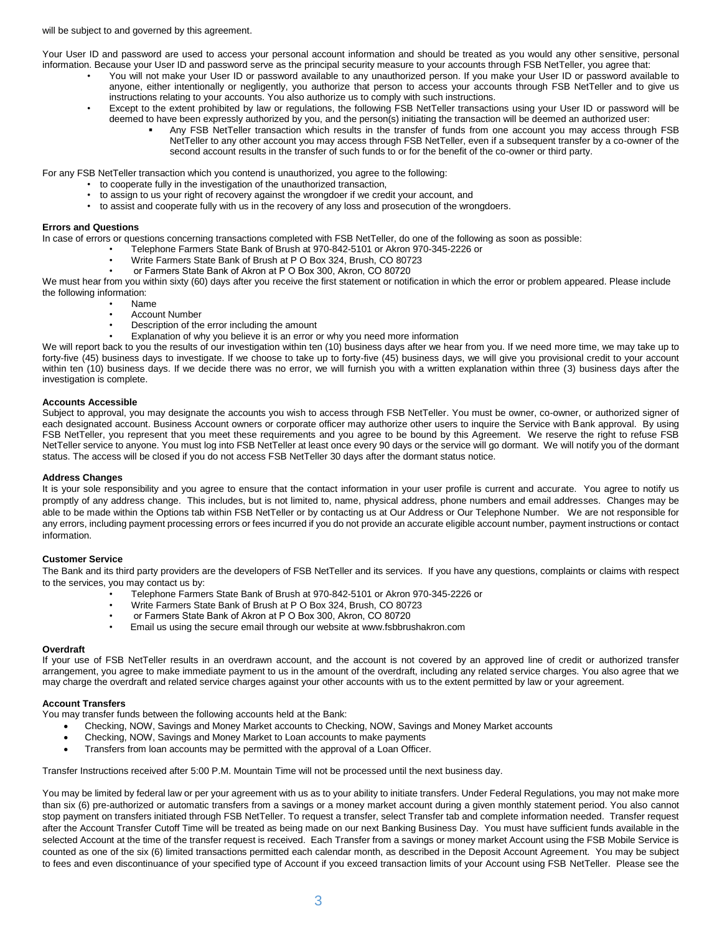will be subject to and governed by this agreement.

Your User ID and password are used to access your personal account information and should be treated as you would any other sensitive, personal information. Because your User ID and password serve as the principal security measure to your accounts through FSB NetTeller, you agree that:

- You will not make your User ID or password available to any unauthorized person. If you make your User ID or password available to anyone, either intentionally or negligently, you authorize that person to access your accounts through FSB NetTeller and to give us instructions relating to your accounts. You also authorize us to comply with such instructions.
	- Except to the extent prohibited by law or regulations, the following FSB NetTeller transactions using your User ID or password will be deemed to have been expressly authorized by you, and the person(s) initiating the transaction will be deemed an authorized user:
		- Any FSB NetTeller transaction which results in the transfer of funds from one account you may access through FSB NetTeller to any other account you may access through FSB NetTeller, even if a subsequent transfer by a co-owner of the second account results in the transfer of such funds to or for the benefit of the co-owner or third party.

For any FSB NetTeller transaction which you contend is unauthorized, you agree to the following:

- to cooperate fully in the investigation of the unauthorized transaction,
- to assign to us your right of recovery against the wrongdoer if we credit your account, and
- to assist and cooperate fully with us in the recovery of any loss and prosecution of the wrongdoers.

# **Errors and Questions**

In case of errors or questions concerning transactions completed with FSB NetTeller, do one of the following as soon as possible:

- Telephone Farmers State Bank of Brush at 970-842-5101 or Akron 970-345-2226 or
	- Write Farmers State Bank of Brush at P O Box 324, Brush, CO 80723
	- or Farmers State Bank of Akron at P O Box 300, Akron, CO 80720

We must hear from you within sixty (60) days after you receive the first statement or notification in which the error or problem appeared. Please include the following information:

- Name
	- Account Number
	- Description of the error including the amount
	- Explanation of why you believe it is an error or why you need more information

We will report back to you the results of our investigation within ten (10) business days after we hear from you. If we need more time, we may take up to forty-five (45) business days to investigate. If we choose to take up to forty-five (45) business days, we will give you provisional credit to your account within ten (10) business days. If we decide there was no error, we will furnish you with a written explanation within three (3) business days after the investigation is complete.

#### **Accounts Accessible**

Subject to approval, you may designate the accounts you wish to access through FSB NetTeller. You must be owner, co-owner, or authorized signer of each designated account. Business Account owners or corporate officer may authorize other users to inquire the Service with Bank approval. By using FSB NetTeller, you represent that you meet these requirements and you agree to be bound by this Agreement. We reserve the right to refuse FSB NetTeller service to anyone. You must log into FSB NetTeller at least once every 90 days or the service will go dormant. We will notify you of the dormant status. The access will be closed if you do not access FSB NetTeller 30 days after the dormant status notice.

# **Address Changes**

It is your sole responsibility and you agree to ensure that the contact information in your user profile is current and accurate. You agree to notify us promptly of any address change. This includes, but is not limited to, name, physical address, phone numbers and email addresses. Changes may be able to be made within the Options tab within FSB NetTeller or by contacting us at Our Address or Our Telephone Number. We are not responsible for any errors, including payment processing errors or fees incurred if you do not provide an accurate eligible account number, payment instructions or contact information.

#### **Customer Service**

The Bank and its third party providers are the developers of FSB NetTeller and its services. If you have any questions, complaints or claims with respect to the services, you may contact us by:

- Telephone Farmers State Bank of Brush at 970-842-5101 or Akron 970-345-2226 or
- Write Farmers State Bank of Brush at P O Box 324, Brush, CO 80723
- or Farmers State Bank of Akron at P O Box 300, Akron, CO 80720
- Email us using the secure email through our website at www.fsbbrushakron.com

#### **Overdraft**

If your use of FSB NetTeller results in an overdrawn account, and the account is not covered by an approved line of credit or authorized transfer arrangement, you agree to make immediate payment to us in the amount of the overdraft, including any related service charges. You also agree that we may charge the overdraft and related service charges against your other accounts with us to the extent permitted by law or your agreement.

#### **Account Transfers**

You may transfer funds between the following accounts held at the Bank:

- Checking, NOW, Savings and Money Market accounts to Checking, NOW, Savings and Money Market accounts
- Checking, NOW, Savings and Money Market to Loan accounts to make payments
- Transfers from loan accounts may be permitted with the approval of a Loan Officer.

Transfer Instructions received after 5:00 P.M. Mountain Time will not be processed until the next business day.

You may be limited by federal law or per your agreement with us as to your ability to initiate transfers. Under Federal Regulations, you may not make more than six (6) pre-authorized or automatic transfers from a savings or a money market account during a given monthly statement period. You also cannot stop payment on transfers initiated through FSB NetTeller. To request a transfer, select Transfer tab and complete information needed. Transfer request after the Account Transfer Cutoff Time will be treated as being made on our next Banking Business Day. You must have sufficient funds available in the selected Account at the time of the transfer request is received. Each Transfer from a savings or money market Account using the FSB Mobile Service is counted as one of the six (6) limited transactions permitted each calendar month, as described in the Deposit Account Agreement. You may be subject to fees and even discontinuance of your specified type of Account if you exceed transaction limits of your Account using FSB NetTeller. Please see the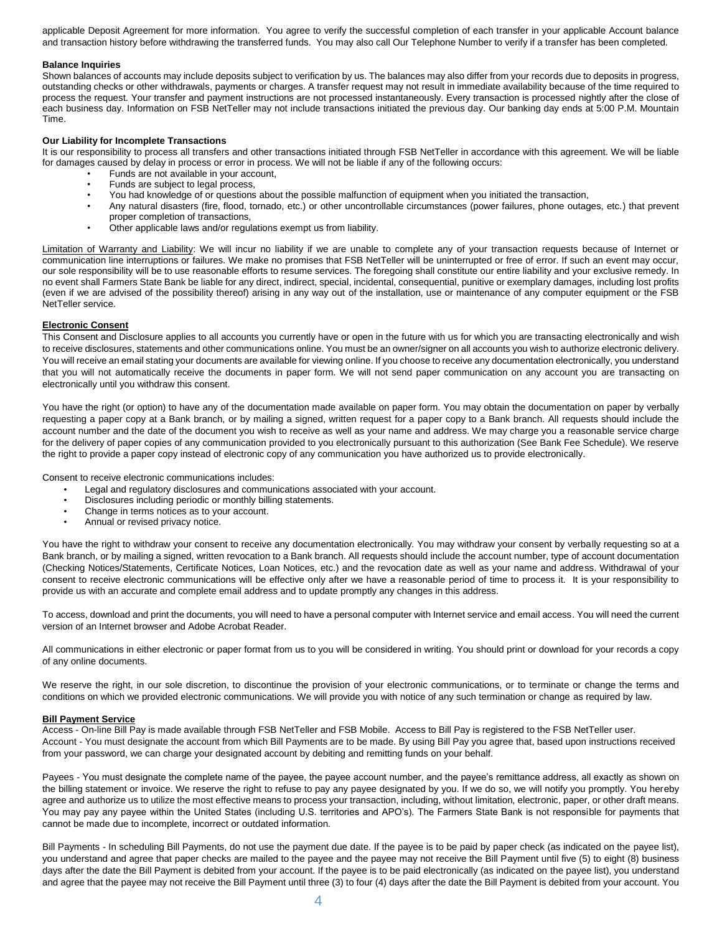applicable Deposit Agreement for more information. You agree to verify the successful completion of each transfer in your applicable Account balance and transaction history before withdrawing the transferred funds. You may also call Our Telephone Number to verify if a transfer has been completed.

#### **Balance Inquiries**

Shown balances of accounts may include deposits subject to verification by us. The balances may also differ from your records due to deposits in progress, outstanding checks or other withdrawals, payments or charges. A transfer request may not result in immediate availability because of the time required to process the request. Your transfer and payment instructions are not processed instantaneously. Every transaction is processed nightly after the close of each business day. Information on FSB NetTeller may not include transactions initiated the previous day. Our banking day ends at 5:00 P.M. Mountain Time.

#### **Our Liability for Incomplete Transactions**

It is our responsibility to process all transfers and other transactions initiated through FSB NetTeller in accordance with this agreement. We will be liable for damages caused by delay in process or error in process. We will not be liable if any of the following occurs:

- Funds are not available in your account,
- Funds are subject to legal process,
- You had knowledge of or questions about the possible malfunction of equipment when you initiated the transaction,
- Any natural disasters (fire, flood, tornado, etc.) or other uncontrollable circumstances (power failures, phone outages, etc.) that prevent proper completion of transactions,
- Other applicable laws and/or regulations exempt us from liability.

Limitation of Warranty and Liability: We will incur no liability if we are unable to complete any of your transaction requests because of Internet or communication line interruptions or failures. We make no promises that FSB NetTeller will be uninterrupted or free of error. If such an event may occur, our sole responsibility will be to use reasonable efforts to resume services. The foregoing shall constitute our entire liability and your exclusive remedy. In no event shall Farmers State Bank be liable for any direct, indirect, special, incidental, consequential, punitive or exemplary damages, including lost profits (even if we are advised of the possibility thereof) arising in any way out of the installation, use or maintenance of any computer equipment or the FSB NetTeller service.

### **Electronic Consent**

This Consent and Disclosure applies to all accounts you currently have or open in the future with us for which you are transacting electronically and wish to receive disclosures, statements and other communications online. You must be an owner/signer on all accounts you wish to authorize electronic delivery. You will receive an email stating your documents are available for viewing online. If you choose to receive any documentation electronically, you understand that you will not automatically receive the documents in paper form. We will not send paper communication on any account you are transacting on electronically until you withdraw this consent.

You have the right (or option) to have any of the documentation made available on paper form. You may obtain the documentation on paper by verbally requesting a paper copy at a Bank branch, or by mailing a signed, written request for a paper copy to a Bank branch. All requests should include the account number and the date of the document you wish to receive as well as your name and address. We may charge you a reasonable service charge for the delivery of paper copies of any communication provided to you electronically pursuant to this authorization (See Bank Fee Schedule). We reserve the right to provide a paper copy instead of electronic copy of any communication you have authorized us to provide electronically.

Consent to receive electronic communications includes:

- Legal and regulatory disclosures and communications associated with your account.
- Disclosures including periodic or monthly billing statements.
- Change in terms notices as to your account.
- Annual or revised privacy notice.

You have the right to withdraw your consent to receive any documentation electronically. You may withdraw your consent by verbally requesting so at a Bank branch, or by mailing a signed, written revocation to a Bank branch. All requests should include the account number, type of account documentation (Checking Notices/Statements, Certificate Notices, Loan Notices, etc.) and the revocation date as well as your name and address. Withdrawal of your consent to receive electronic communications will be effective only after we have a reasonable period of time to process it. It is your responsibility to provide us with an accurate and complete email address and to update promptly any changes in this address.

To access, download and print the documents, you will need to have a personal computer with Internet service and email access. You will need the current version of an Internet browser and Adobe Acrobat Reader.

All communications in either electronic or paper format from us to you will be considered in writing. You should print or download for your records a copy of any online documents.

We reserve the right, in our sole discretion, to discontinue the provision of your electronic communications, or to terminate or change the terms and conditions on which we provided electronic communications. We will provide you with notice of any such termination or change as required by law.

#### **Bill Payment Service**

Access - On-line Bill Pay is made available through FSB NetTeller and FSB Mobile. Access to Bill Pay is registered to the FSB NetTeller user. Account - You must designate the account from which Bill Payments are to be made. By using Bill Pay you agree that, based upon instructions received from your password, we can charge your designated account by debiting and remitting funds on your behalf.

Payees - You must designate the complete name of the payee, the payee account number, and the payee's remittance address, all exactly as shown on the billing statement or invoice. We reserve the right to refuse to pay any payee designated by you. If we do so, we will notify you promptly. You hereby agree and authorize us to utilize the most effective means to process your transaction, including, without limitation, electronic, paper, or other draft means. You may pay any payee within the United States (including U.S. territories and APO's). The Farmers State Bank is not responsible for payments that cannot be made due to incomplete, incorrect or outdated information.

Bill Payments - In scheduling Bill Payments, do not use the payment due date. If the payee is to be paid by paper check (as indicated on the payee list), you understand and agree that paper checks are mailed to the payee and the payee may not receive the Bill Payment until five (5) to eight (8) business days after the date the Bill Payment is debited from your account. If the payee is to be paid electronically (as indicated on the payee list), you understand and agree that the payee may not receive the Bill Payment until three (3) to four (4) days after the date the Bill Payment is debited from your account. You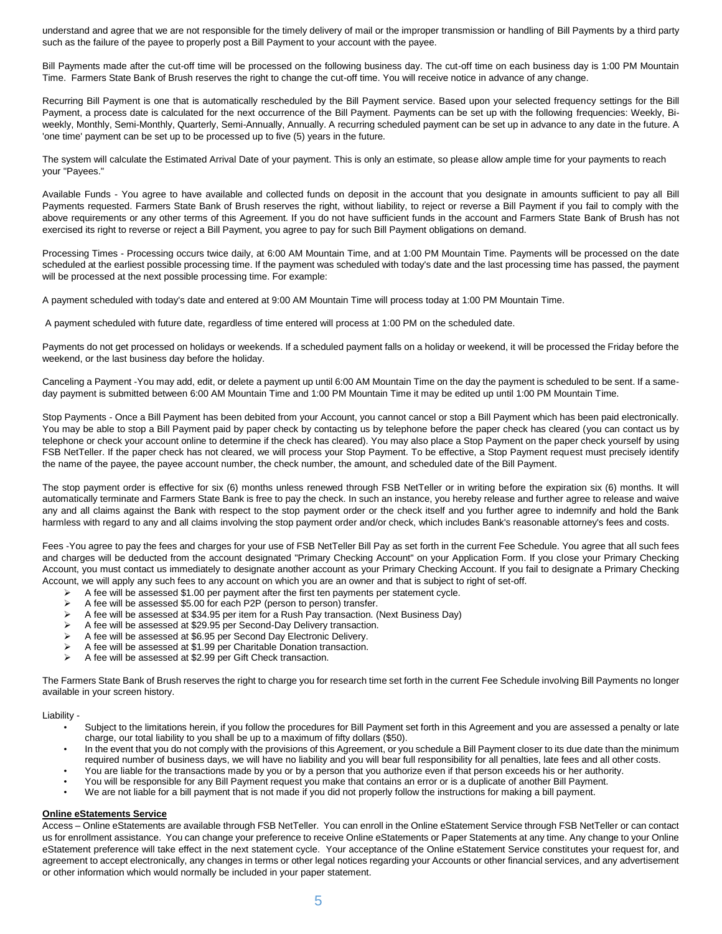understand and agree that we are not responsible for the timely delivery of mail or the improper transmission or handling of Bill Payments by a third party such as the failure of the payee to properly post a Bill Payment to your account with the payee.

Bill Payments made after the cut-off time will be processed on the following business day. The cut-off time on each business day is 1:00 PM Mountain Time. Farmers State Bank of Brush reserves the right to change the cut-off time. You will receive notice in advance of any change.

Recurring Bill Payment is one that is automatically rescheduled by the Bill Payment service. Based upon your selected frequency settings for the Bill Payment, a process date is calculated for the next occurrence of the Bill Payment. Payments can be set up with the following frequencies: Weekly, Biweekly, Monthly, Semi-Monthly, Quarterly, Semi-Annually, Annually. A recurring scheduled payment can be set up in advance to any date in the future. A 'one time' payment can be set up to be processed up to five (5) years in the future.

The system will calculate the Estimated Arrival Date of your payment. This is only an estimate, so please allow ample time for your payments to reach your "Payees."

Available Funds - You agree to have available and collected funds on deposit in the account that you designate in amounts sufficient to pay all Bill Payments requested. Farmers State Bank of Brush reserves the right, without liability, to reject or reverse a Bill Payment if you fail to comply with the above requirements or any other terms of this Agreement. If you do not have sufficient funds in the account and Farmers State Bank of Brush has not exercised its right to reverse or reject a Bill Payment, you agree to pay for such Bill Payment obligations on demand.

Processing Times - Processing occurs twice daily, at 6:00 AM Mountain Time, and at 1:00 PM Mountain Time. Payments will be processed on the date scheduled at the earliest possible processing time. If the payment was scheduled with today's date and the last processing time has passed, the payment will be processed at the next possible processing time. For example:

A payment scheduled with today's date and entered at 9:00 AM Mountain Time will process today at 1:00 PM Mountain Time.

A payment scheduled with future date, regardless of time entered will process at 1:00 PM on the scheduled date.

Payments do not get processed on holidays or weekends. If a scheduled payment falls on a holiday or weekend, it will be processed the Friday before the weekend, or the last business day before the holiday.

Canceling a Payment -You may add, edit, or delete a payment up until 6:00 AM Mountain Time on the day the payment is scheduled to be sent. If a sameday payment is submitted between 6:00 AM Mountain Time and 1:00 PM Mountain Time it may be edited up until 1:00 PM Mountain Time.

Stop Payments - Once a Bill Payment has been debited from your Account, you cannot cancel or stop a Bill Payment which has been paid electronically. You may be able to stop a Bill Payment paid by paper check by contacting us by telephone before the paper check has cleared (you can contact us by telephone or check your account online to determine if the check has cleared). You may also place a Stop Payment on the paper check yourself by using FSB NetTeller. If the paper check has not cleared, we will process your Stop Payment. To be effective, a Stop Payment request must precisely identify the name of the payee, the payee account number, the check number, the amount, and scheduled date of the Bill Payment.

The stop payment order is effective for six (6) months unless renewed through FSB NetTeller or in writing before the expiration six (6) months. It will automatically terminate and Farmers State Bank is free to pay the check. In such an instance, you hereby release and further agree to release and waive any and all claims against the Bank with respect to the stop payment order or the check itself and you further agree to indemnify and hold the Bank harmless with regard to any and all claims involving the stop payment order and/or check, which includes Bank's reasonable attorney's fees and costs.

Fees -You agree to pay the fees and charges for your use of FSB NetTeller Bill Pay as set forth in the current Fee Schedule. You agree that all such fees and charges will be deducted from the account designated "Primary Checking Account" on your Application Form. If you close your Primary Checking Account, you must contact us immediately to designate another account as your Primary Checking Account. If you fail to designate a Primary Checking Account, we will apply any such fees to any account on which you are an owner and that is subject to right of set-off.

- A fee will be assessed \$1.00 per payment after the first ten payments per statement cycle.<br>
A fee will be assessed \$5.00 for each P2P (person to person) transfer
- A fee will be assessed \$5.00 for each P2P (person to person) transfer.<br>
A fee will be assessed at \$34.95 per item for a Rush Pay transaction
- A fee will be assessed at \$34.95 per item for a Rush Pay transaction. (Next Business Day)
- A fee will be assessed at \$29.95 per Second-Day Delivery transaction.
- $\triangleright$  A fee will be assessed at \$6.95 per Second Day Electronic Delivery.<br> $\triangleright$  A fee will be assessed at \$1.99 per Charitable Donation transaction
- A fee will be assessed at \$1.99 per Charitable Donation transaction.
- A fee will be assessed at \$2.99 per Gift Check transaction.

The Farmers State Bank of Brush reserves the right to charge you for research time set forth in the current Fee Schedule involving Bill Payments no longer available in your screen history.

### Liability -

- Subject to the limitations herein, if you follow the procedures for Bill Payment set forth in this Agreement and you are assessed a penalty or late charge, our total liability to you shall be up to a maximum of fifty dollars (\$50).
- In the event that you do not comply with the provisions of this Agreement, or you schedule a Bill Payment closer to its due date than the minimum required number of business days, we will have no liability and you will bear full responsibility for all penalties, late fees and all other costs.
- You are liable for the transactions made by you or by a person that you authorize even if that person exceeds his or her authority.
- You will be responsible for any Bill Payment request you make that contains an error or is a duplicate of another Bill Payment.
- We are not liable for a bill payment that is not made if you did not properly follow the instructions for making a bill payment.

# **Online eStatements Service**

Access – Online eStatements are available through FSB NetTeller. You can enroll in the Online eStatement Service through FSB NetTeller or can contact us for enrollment assistance. You can change your preference to receive Online eStatements or Paper Statements at any time. Any change to your Online eStatement preference will take effect in the next statement cycle. Your acceptance of the Online eStatement Service constitutes your request for, and agreement to accept electronically, any changes in terms or other legal notices regarding your Accounts or other financial services, and any advertisement or other information which would normally be included in your paper statement.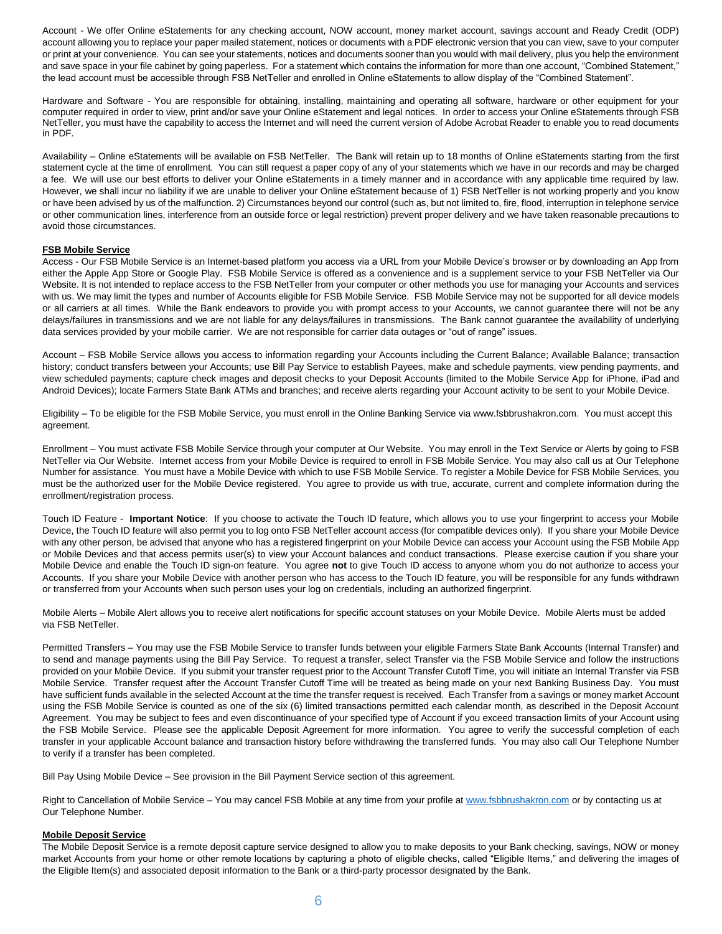Account - We offer Online eStatements for any checking account, NOW account, money market account, savings account and Ready Credit (ODP) account allowing you to replace your paper mailed statement, notices or documents with a PDF electronic version that you can view, save to your computer or print at your convenience. You can see your statements, notices and documents sooner than you would with mail delivery, plus you help the environment and save space in your file cabinet by going paperless. For a statement which contains the information for more than one account, "Combined Statement," the lead account must be accessible through FSB NetTeller and enrolled in Online eStatements to allow display of the "Combined Statement".

Hardware and Software - You are responsible for obtaining, installing, maintaining and operating all software, hardware or other equipment for your computer required in order to view, print and/or save your Online eStatement and legal notices. In order to access your Online eStatements through FSB NetTeller, you must have the capability to access the Internet and will need the current version of Adobe Acrobat Reader to enable you to read documents in PDF.

Availability – Online eStatements will be available on FSB NetTeller. The Bank will retain up to 18 months of Online eStatements starting from the first statement cycle at the time of enrollment. You can still request a paper copy of any of your statements which we have in our records and may be charged a fee. We will use our best efforts to deliver your Online eStatements in a timely manner and in accordance with any applicable time required by law. However, we shall incur no liability if we are unable to deliver your Online eStatement because of 1) FSB NetTeller is not working properly and you know or have been advised by us of the malfunction. 2) Circumstances beyond our control (such as, but not limited to, fire, flood, interruption in telephone service or other communication lines, interference from an outside force or legal restriction) prevent proper delivery and we have taken reasonable precautions to avoid those circumstances.

### **FSB Mobile Service**

Access - Our FSB Mobile Service is an Internet-based platform you access via a URL from your Mobile Device's browser or by downloading an App from either the Apple App Store or Google Play. FSB Mobile Service is offered as a convenience and is a supplement service to your FSB NetTeller via Our Website. It is not intended to replace access to the FSB NetTeller from your computer or other methods you use for managing your Accounts and services with us. We may limit the types and number of Accounts eligible for FSB Mobile Service. FSB Mobile Service may not be supported for all device models or all carriers at all times. While the Bank endeavors to provide you with prompt access to your Accounts, we cannot guarantee there will not be any delays/failures in transmissions and we are not liable for any delays/failures in transmissions. The Bank cannot guarantee the availability of underlying data services provided by your mobile carrier. We are not responsible for carrier data outages or "out of range" issues.

Account – FSB Mobile Service allows you access to information regarding your Accounts including the Current Balance; Available Balance; transaction history; conduct transfers between your Accounts; use Bill Pay Service to establish Payees, make and schedule payments, view pending payments, and view scheduled payments; capture check images and deposit checks to your Deposit Accounts (limited to the Mobile Service App for iPhone, iPad and Android Devices); locate Farmers State Bank ATMs and branches; and receive alerts regarding your Account activity to be sent to your Mobile Device.

Eligibility – To be eligible for the FSB Mobile Service, you must enroll in the Online Banking Service via www.fsbbrushakron.com. You must accept this agreement.

Enrollment – You must activate FSB Mobile Service through your computer at Our Website. You may enroll in the Text Service or Alerts by going to FSB NetTeller via Our Website. Internet access from your Mobile Device is required to enroll in FSB Mobile Service. You may also call us at Our Telephone Number for assistance. You must have a Mobile Device with which to use FSB Mobile Service. To register a Mobile Device for FSB Mobile Services, you must be the authorized user for the Mobile Device registered. You agree to provide us with true, accurate, current and complete information during the enrollment/registration process.

Touch ID Feature - **Important Notice**: If you choose to activate the Touch ID feature, which allows you to use your fingerprint to access your Mobile Device, the Touch ID feature will also permit you to log onto FSB NetTeller account access (for compatible devices only). If you share your Mobile Device with any other person, be advised that anyone who has a registered fingerprint on your Mobile Device can access your Account using the FSB Mobile App or Mobile Devices and that access permits user(s) to view your Account balances and conduct transactions. Please exercise caution if you share your Mobile Device and enable the Touch ID sign-on feature. You agree **not** to give Touch ID access to anyone whom you do not authorize to access your Accounts. If you share your Mobile Device with another person who has access to the Touch ID feature, you will be responsible for any funds withdrawn or transferred from your Accounts when such person uses your log on credentials, including an authorized fingerprint.

Mobile Alerts – Mobile Alert allows you to receive alert notifications for specific account statuses on your Mobile Device. Mobile Alerts must be added via FSB NetTeller.

Permitted Transfers – You may use the FSB Mobile Service to transfer funds between your eligible Farmers State Bank Accounts (Internal Transfer) and to send and manage payments using the Bill Pay Service. To request a transfer, select Transfer via the FSB Mobile Service and follow the instructions provided on your Mobile Device. If you submit your transfer request prior to the Account Transfer Cutoff Time, you will initiate an Internal Transfer via FSB Mobile Service. Transfer request after the Account Transfer Cutoff Time will be treated as being made on your next Banking Business Day. You must have sufficient funds available in the selected Account at the time the transfer request is received. Each Transfer from a savings or money market Account using the FSB Mobile Service is counted as one of the six (6) limited transactions permitted each calendar month, as described in the Deposit Account Agreement. You may be subject to fees and even discontinuance of your specified type of Account if you exceed transaction limits of your Account using the FSB Mobile Service. Please see the applicable Deposit Agreement for more information. You agree to verify the successful completion of each transfer in your applicable Account balance and transaction history before withdrawing the transferred funds. You may also call Our Telephone Number to verify if a transfer has been completed.

Bill Pay Using Mobile Device – See provision in the Bill Payment Service section of this agreement.

Right to Cancellation of Mobile Service – You may cancel FSB Mobile at any time from your profile a[t www.fsbbrushakron.com](http://www.fsbbrushakron.com/) or by contacting us at Our Telephone Number.

#### **Mobile Deposit Service**

The Mobile Deposit Service is a remote deposit capture service designed to allow you to make deposits to your Bank checking, savings, NOW or money market Accounts from your home or other remote locations by capturing a photo of eligible checks, called "Eligible Items," and delivering the images of the Eligible Item(s) and associated deposit information to the Bank or a third-party processor designated by the Bank.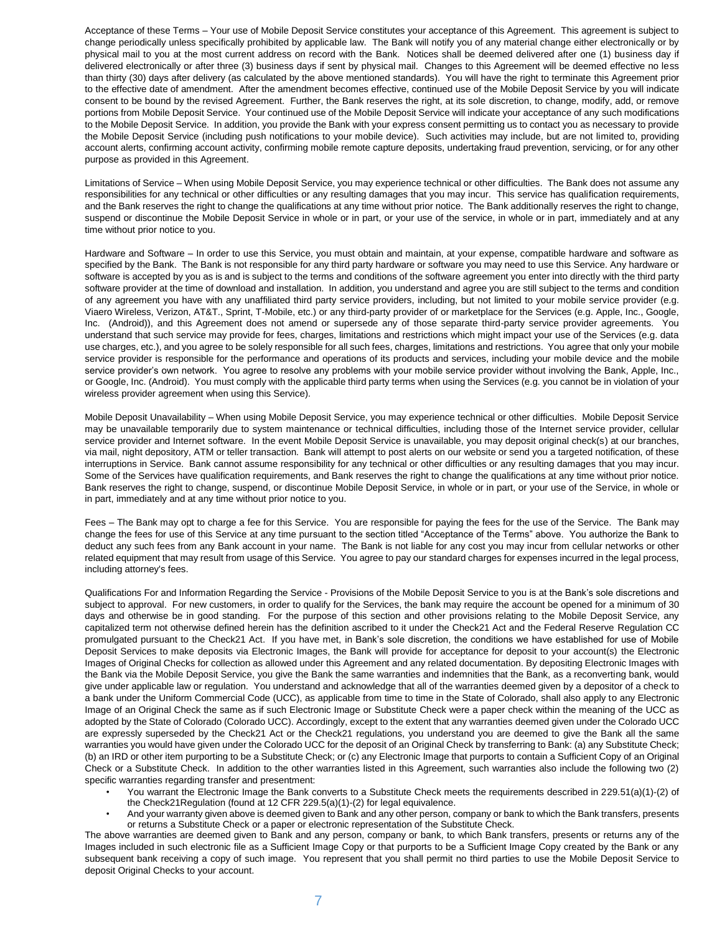Acceptance of these Terms – Your use of Mobile Deposit Service constitutes your acceptance of this Agreement. This agreement is subject to change periodically unless specifically prohibited by applicable law. The Bank will notify you of any material change either electronically or by physical mail to you at the most current address on record with the Bank. Notices shall be deemed delivered after one (1) business day if delivered electronically or after three (3) business days if sent by physical mail. Changes to this Agreement will be deemed effective no less than thirty (30) days after delivery (as calculated by the above mentioned standards). You will have the right to terminate this Agreement prior to the effective date of amendment. After the amendment becomes effective, continued use of the Mobile Deposit Service by you will indicate consent to be bound by the revised Agreement. Further, the Bank reserves the right, at its sole discretion, to change, modify, add, or remove portions from Mobile Deposit Service. Your continued use of the Mobile Deposit Service will indicate your acceptance of any such modifications to the Mobile Deposit Service. In addition, you provide the Bank with your express consent permitting us to contact you as necessary to provide the Mobile Deposit Service (including push notifications to your mobile device). Such activities may include, but are not limited to, providing account alerts, confirming account activity, confirming mobile remote capture deposits, undertaking fraud prevention, servicing, or for any other purpose as provided in this Agreement.

Limitations of Service – When using Mobile Deposit Service, you may experience technical or other difficulties. The Bank does not assume any responsibilities for any technical or other difficulties or any resulting damages that you may incur. This service has qualification requirements, and the Bank reserves the right to change the qualifications at any time without prior notice. The Bank additionally reserves the right to change, suspend or discontinue the Mobile Deposit Service in whole or in part, or your use of the service, in whole or in part, immediately and at any time without prior notice to you.

Hardware and Software – In order to use this Service, you must obtain and maintain, at your expense, compatible hardware and software as specified by the Bank. The Bank is not responsible for any third party hardware or software you may need to use this Service. Any hardware or software is accepted by you as is and is subject to the terms and conditions of the software agreement you enter into directly with the third party software provider at the time of download and installation. In addition, you understand and agree you are still subject to the terms and condition of any agreement you have with any unaffiliated third party service providers, including, but not limited to your mobile service provider (e.g. Viaero Wireless, Verizon, AT&T., Sprint, T-Mobile, etc.) or any third-party provider of or marketplace for the Services (e.g. Apple, Inc., Google, Inc. (Android)), and this Agreement does not amend or supersede any of those separate third-party service provider agreements. You understand that such service may provide for fees, charges, limitations and restrictions which might impact your use of the Services (e.g. data use charges, etc.), and you agree to be solely responsible for all such fees, charges, limitations and restrictions. You agree that only your mobile service provider is responsible for the performance and operations of its products and services, including your mobile device and the mobile service provider's own network. You agree to resolve any problems with your mobile service provider without involving the Bank, Apple, Inc., or Google, Inc. (Android). You must comply with the applicable third party terms when using the Services (e.g. you cannot be in violation of your wireless provider agreement when using this Service).

Mobile Deposit Unavailability – When using Mobile Deposit Service, you may experience technical or other difficulties. Mobile Deposit Service may be unavailable temporarily due to system maintenance or technical difficulties, including those of the Internet service provider, cellular service provider and Internet software. In the event Mobile Deposit Service is unavailable, you may deposit original check(s) at our branches, via mail, night depository, ATM or teller transaction. Bank will attempt to post alerts on our website or send you a targeted notification, of these interruptions in Service. Bank cannot assume responsibility for any technical or other difficulties or any resulting damages that you may incur. Some of the Services have qualification requirements, and Bank reserves the right to change the qualifications at any time without prior notice. Bank reserves the right to change, suspend, or discontinue Mobile Deposit Service, in whole or in part, or your use of the Service, in whole or in part, immediately and at any time without prior notice to you.

Fees – The Bank may opt to charge a fee for this Service. You are responsible for paying the fees for the use of the Service. The Bank may change the fees for use of this Service at any time pursuant to the section titled "Acceptance of the Terms" above. You authorize the Bank to deduct any such fees from any Bank account in your name. The Bank is not liable for any cost you may incur from cellular networks or other related equipment that may result from usage of this Service. You agree to pay our standard charges for expenses incurred in the legal process, including attorney's fees.

Qualifications For and Information Regarding the Service - Provisions of the Mobile Deposit Service to you is at the Bank's sole discretions and subject to approval. For new customers, in order to qualify for the Services, the bank may require the account be opened for a minimum of 30 days and otherwise be in good standing. For the purpose of this section and other provisions relating to the Mobile Deposit Service, any capitalized term not otherwise defined herein has the definition ascribed to it under the Check21 Act and the Federal Reserve Regulation CC promulgated pursuant to the Check21 Act. If you have met, in Bank's sole discretion, the conditions we have established for use of Mobile Deposit Services to make deposits via Electronic Images, the Bank will provide for acceptance for deposit to your account(s) the Electronic Images of Original Checks for collection as allowed under this Agreement and any related documentation. By depositing Electronic Images with the Bank via the Mobile Deposit Service, you give the Bank the same warranties and indemnities that the Bank, as a reconverting bank, would give under applicable law or regulation. You understand and acknowledge that all of the warranties deemed given by a depositor of a check to a bank under the Uniform Commercial Code (UCC), as applicable from time to time in the State of Colorado, shall also apply to any Electronic Image of an Original Check the same as if such Electronic Image or Substitute Check were a paper check within the meaning of the UCC as adopted by the State of Colorado (Colorado UCC). Accordingly, except to the extent that any warranties deemed given under the Colorado UCC are expressly superseded by the Check21 Act or the Check21 regulations, you understand you are deemed to give the Bank all the same warranties you would have given under the Colorado UCC for the deposit of an Original Check by transferring to Bank: (a) any Substitute Check; (b) an IRD or other item purporting to be a Substitute Check; or (c) any Electronic Image that purports to contain a Sufficient Copy of an Original Check or a Substitute Check. In addition to the other warranties listed in this Agreement, such warranties also include the following two (2) specific warranties regarding transfer and presentment:

- You warrant the Electronic Image the Bank converts to a Substitute Check meets the requirements described in 229.51(a)(1)-(2) of the Check21Regulation (found at 12 CFR 229.5(a)(1)-(2) for legal equivalence.
- And your warranty given above is deemed given to Bank and any other person, company or bank to which the Bank transfers, presents or returns a Substitute Check or a paper or electronic representation of the Substitute Check.

The above warranties are deemed given to Bank and any person, company or bank, to which Bank transfers, presents or returns any of the Images included in such electronic file as a Sufficient Image Copy or that purports to be a Sufficient Image Copy created by the Bank or any subsequent bank receiving a copy of such image. You represent that you shall permit no third parties to use the Mobile Deposit Service to deposit Original Checks to your account.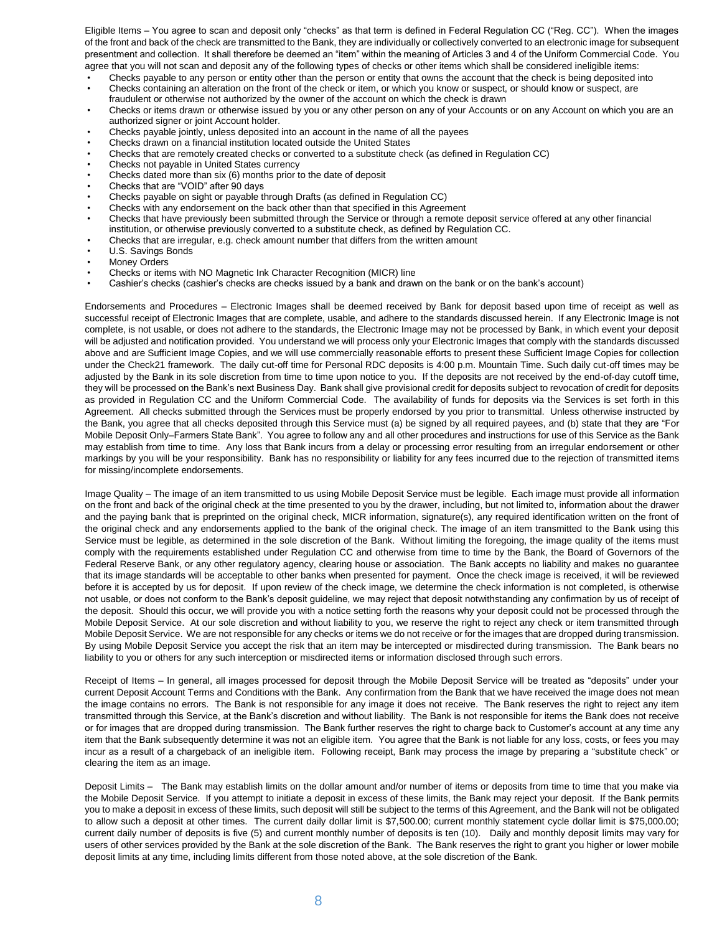Eligible Items – You agree to scan and deposit only "checks" as that term is defined in Federal Regulation CC ("Reg. CC"). When the images of the front and back of the check are transmitted to the Bank, they are individually or collectively converted to an electronic image for subsequent presentment and collection. It shall therefore be deemed an "item" within the meaning of Articles 3 and 4 of the Uniform Commercial Code. You agree that you will not scan and deposit any of the following types of checks or other items which shall be considered ineligible items:

- Checks payable to any person or entity other than the person or entity that owns the account that the check is being deposited into
- Checks containing an alteration on the front of the check or item, or which you know or suspect, or should know or suspect, are fraudulent or otherwise not authorized by the owner of the account on which the check is drawn
- Checks or items drawn or otherwise issued by you or any other person on any of your Accounts or on any Account on which you are an authorized signer or joint Account holder.
- Checks payable jointly, unless deposited into an account in the name of all the payees
- Checks drawn on a financial institution located outside the United States
- Checks that are remotely created checks or converted to a substitute check (as defined in Regulation CC)
- Checks not payable in United States currency
- Checks dated more than six (6) months prior to the date of deposit
- Checks that are "VOID" after 90 days
- Checks payable on sight or payable through Drafts (as defined in Regulation CC)
- Checks with any endorsement on the back other than that specified in this Agreement
- Checks that have previously been submitted through the Service or through a remote deposit service offered at any other financial institution, or otherwise previously converted to a substitute check, as defined by Regulation CC.
- Checks that are irregular, e.g. check amount number that differs from the written amount
- U.S. Savings Bonds
- Money Orders
- Checks or items with NO Magnetic Ink Character Recognition (MICR) line
- Cashier's checks (cashier's checks are checks issued by a bank and drawn on the bank or on the bank's account)

Endorsements and Procedures – Electronic Images shall be deemed received by Bank for deposit based upon time of receipt as well as successful receipt of Electronic Images that are complete, usable, and adhere to the standards discussed herein. If any Electronic Image is not complete, is not usable, or does not adhere to the standards, the Electronic Image may not be processed by Bank, in which event your deposit will be adjusted and notification provided. You understand we will process only your Electronic Images that comply with the standards discussed above and are Sufficient Image Copies, and we will use commercially reasonable efforts to present these Sufficient Image Copies for collection under the Check21 framework. The daily cut-off time for Personal RDC deposits is 4:00 p.m. Mountain Time. Such daily cut-off times may be adjusted by the Bank in its sole discretion from time to time upon notice to you. If the deposits are not received by the end-of-day cutoff time, they will be processed on the Bank's next Business Day. Bank shall give provisional credit for deposits subject to revocation of credit for deposits as provided in Regulation CC and the Uniform Commercial Code. The availability of funds for deposits via the Services is set forth in this Agreement. All checks submitted through the Services must be properly endorsed by you prior to transmittal. Unless otherwise instructed by the Bank, you agree that all checks deposited through this Service must (a) be signed by all required payees, and (b) state that they are "For Mobile Deposit Only–Farmers State Bank". You agree to follow any and all other procedures and instructions for use of this Service as the Bank may establish from time to time. Any loss that Bank incurs from a delay or processing error resulting from an irregular endorsement or other markings by you will be your responsibility. Bank has no responsibility or liability for any fees incurred due to the rejection of transmitted items for missing/incomplete endorsements.

Image Quality – The image of an item transmitted to us using Mobile Deposit Service must be legible. Each image must provide all information on the front and back of the original check at the time presented to you by the drawer, including, but not limited to, information about the drawer and the paying bank that is preprinted on the original check, MICR information, signature(s), any required identification written on the front of the original check and any endorsements applied to the bank of the original check. The image of an item transmitted to the Bank using this Service must be legible, as determined in the sole discretion of the Bank. Without limiting the foregoing, the image quality of the items must comply with the requirements established under Regulation CC and otherwise from time to time by the Bank, the Board of Governors of the Federal Reserve Bank, or any other regulatory agency, clearing house or association. The Bank accepts no liability and makes no guarantee that its image standards will be acceptable to other banks when presented for payment. Once the check image is received, it will be reviewed before it is accepted by us for deposit. If upon review of the check image, we determine the check information is not completed, is otherwise not usable, or does not conform to the Bank's deposit guideline, we may reject that deposit notwithstanding any confirmation by us of receipt of the deposit. Should this occur, we will provide you with a notice setting forth the reasons why your deposit could not be processed through the Mobile Deposit Service. At our sole discretion and without liability to you, we reserve the right to reject any check or item transmitted through Mobile Deposit Service. We are not responsible for any checks or items we do not receive or for the images that are dropped during transmission. By using Mobile Deposit Service you accept the risk that an item may be intercepted or misdirected during transmission. The Bank bears no liability to you or others for any such interception or misdirected items or information disclosed through such errors.

Receipt of Items – In general, all images processed for deposit through the Mobile Deposit Service will be treated as "deposits" under your current Deposit Account Terms and Conditions with the Bank. Any confirmation from the Bank that we have received the image does not mean the image contains no errors. The Bank is not responsible for any image it does not receive. The Bank reserves the right to reject any item transmitted through this Service, at the Bank's discretion and without liability. The Bank is not responsible for items the Bank does not receive or for images that are dropped during transmission. The Bank further reserves the right to charge back to Customer's account at any time any item that the Bank subsequently determine it was not an eligible item. You agree that the Bank is not liable for any loss, costs, or fees you may incur as a result of a chargeback of an ineligible item. Following receipt, Bank may process the image by preparing a "substitute check" or clearing the item as an image.

Deposit Limits – The Bank may establish limits on the dollar amount and/or number of items or deposits from time to time that you make via the Mobile Deposit Service. If you attempt to initiate a deposit in excess of these limits, the Bank may reject your deposit. If the Bank permits you to make a deposit in excess of these limits, such deposit will still be subject to the terms of this Agreement, and the Bank will not be obligated to allow such a deposit at other times. The current daily dollar limit is \$7,500.00; current monthly statement cycle dollar limit is \$75,000.00; current daily number of deposits is five (5) and current monthly number of deposits is ten (10). Daily and monthly deposit limits may vary for users of other services provided by the Bank at the sole discretion of the Bank. The Bank reserves the right to grant you higher or lower mobile deposit limits at any time, including limits different from those noted above, at the sole discretion of the Bank.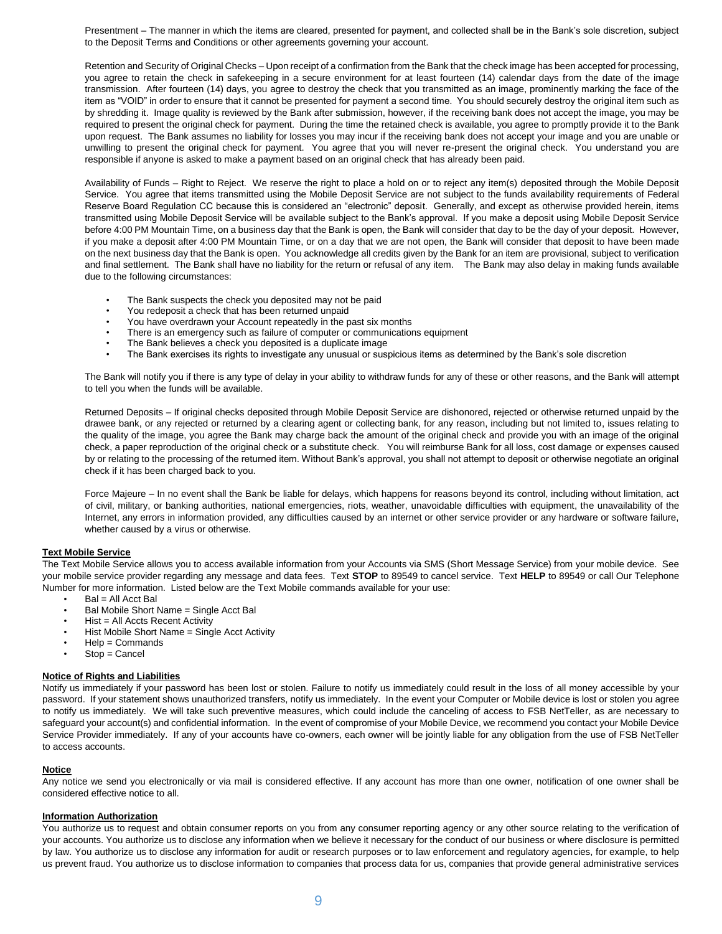Presentment – The manner in which the items are cleared, presented for payment, and collected shall be in the Bank's sole discretion, subject to the Deposit Terms and Conditions or other agreements governing your account.

Retention and Security of Original Checks – Upon receipt of a confirmation from the Bank that the check image has been accepted for processing, you agree to retain the check in safekeeping in a secure environment for at least fourteen (14) calendar days from the date of the image transmission. After fourteen (14) days, you agree to destroy the check that you transmitted as an image, prominently marking the face of the item as "VOID" in order to ensure that it cannot be presented for payment a second time. You should securely destroy the original item such as by shredding it. Image quality is reviewed by the Bank after submission, however, if the receiving bank does not accept the image, you may be required to present the original check for payment. During the time the retained check is available, you agree to promptly provide it to the Bank upon request. The Bank assumes no liability for losses you may incur if the receiving bank does not accept your image and you are unable or unwilling to present the original check for payment. You agree that you will never re-present the original check. You understand you are responsible if anyone is asked to make a payment based on an original check that has already been paid.

Availability of Funds – Right to Reject. We reserve the right to place a hold on or to reject any item(s) deposited through the Mobile Deposit Service. You agree that items transmitted using the Mobile Deposit Service are not subject to the funds availability requirements of Federal Reserve Board Regulation CC because this is considered an "electronic" deposit. Generally, and except as otherwise provided herein, items transmitted using Mobile Deposit Service will be available subject to the Bank's approval. If you make a deposit using Mobile Deposit Service before 4:00 PM Mountain Time, on a business day that the Bank is open, the Bank will consider that day to be the day of your deposit. However, if you make a deposit after 4:00 PM Mountain Time, or on a day that we are not open, the Bank will consider that deposit to have been made on the next business day that the Bank is open. You acknowledge all credits given by the Bank for an item are provisional, subject to verification and final settlement. The Bank shall have no liability for the return or refusal of any item. The Bank may also delay in making funds available due to the following circumstances:

- The Bank suspects the check you deposited may not be paid
- You redeposit a check that has been returned unpaid
- You have overdrawn your Account repeatedly in the past six months
- There is an emergency such as failure of computer or communications equipment
- The Bank believes a check you deposited is a duplicate image
- The Bank exercises its rights to investigate any unusual or suspicious items as determined by the Bank's sole discretion

The Bank will notify you if there is any type of delay in your ability to withdraw funds for any of these or other reasons, and the Bank will attempt to tell you when the funds will be available.

Returned Deposits – If original checks deposited through Mobile Deposit Service are dishonored, rejected or otherwise returned unpaid by the drawee bank, or any rejected or returned by a clearing agent or collecting bank, for any reason, including but not limited to, issues relating to the quality of the image, you agree the Bank may charge back the amount of the original check and provide you with an image of the original check, a paper reproduction of the original check or a substitute check. You will reimburse Bank for all loss, cost damage or expenses caused by or relating to the processing of the returned item. Without Bank's approval, you shall not attempt to deposit or otherwise negotiate an original check if it has been charged back to you.

Force Majeure – In no event shall the Bank be liable for delays, which happens for reasons beyond its control, including without limitation, act of civil, military, or banking authorities, national emergencies, riots, weather, unavoidable difficulties with equipment, the unavailability of the Internet, any errors in information provided, any difficulties caused by an internet or other service provider or any hardware or software failure, whether caused by a virus or otherwise.

# **Text Mobile Service**

The Text Mobile Service allows you to access available information from your Accounts via SMS (Short Message Service) from your mobile device. See your mobile service provider regarding any message and data fees. Text **STOP** to 89549 to cancel service. Text **HELP** to 89549 or call Our Telephone Number for more information. Listed below are the Text Mobile commands available for your use:

- $\cdot$  Bal = All Acct Bal
- Bal Mobile Short Name = Single Acct Bal
- Hist = All Accts Recent Activity
- Hist Mobile Short Name = Single Acct Activity
- Help = Commands
- $Stop =$ Cancel

#### **Notice of Rights and Liabilities**

Notify us immediately if your password has been lost or stolen. Failure to notify us immediately could result in the loss of all money accessible by your password. If your statement shows unauthorized transfers, notify us immediately. In the event your Computer or Mobile device is lost or stolen you agree to notify us immediately. We will take such preventive measures, which could include the canceling of access to FSB NetTeller, as are necessary to safeguard your account(s) and confidential information. In the event of compromise of your Mobile Device, we recommend you contact your Mobile Device Service Provider immediately. If any of your accounts have co-owners, each owner will be jointly liable for any obligation from the use of FSB NetTeller to access accounts.

# **Notice**

Any notice we send you electronically or via mail is considered effective. If any account has more than one owner, notification of one owner shall be considered effective notice to all.

#### **Information Authorization**

You authorize us to request and obtain consumer reports on you from any consumer reporting agency or any other source relating to the verification of your accounts. You authorize us to disclose any information when we believe it necessary for the conduct of our business or where disclosure is permitted by law. You authorize us to disclose any information for audit or research purposes or to law enforcement and regulatory agencies, for example, to help us prevent fraud. You authorize us to disclose information to companies that process data for us, companies that provide general administrative services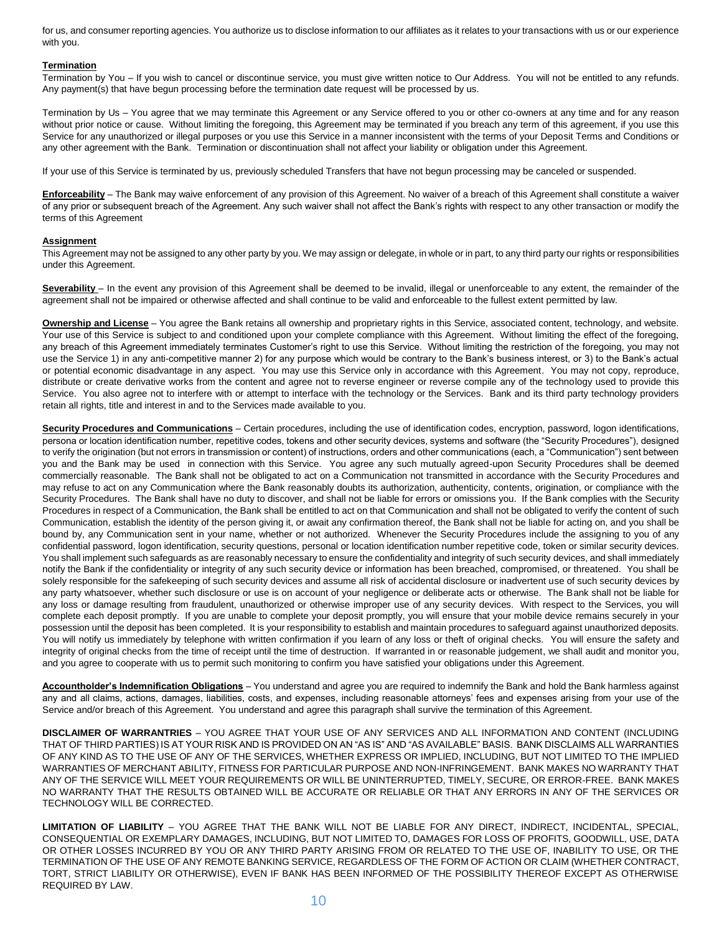for us, and consumer reporting agencies. You authorize us to disclose information to our affiliates as it relates to your transactions with us or our experience with you.

# **Termination**

Termination by You – If you wish to cancel or discontinue service, you must give written notice to Our Address. You will not be entitled to any refunds. Any payment(s) that have begun processing before the termination date request will be processed by us.

Termination by Us – You agree that we may terminate this Agreement or any Service offered to you or other co-owners at any time and for any reason without prior notice or cause. Without limiting the foregoing, this Agreement may be terminated if you breach any term of this agreement, if you use this Service for any unauthorized or illegal purposes or you use this Service in a manner inconsistent with the terms of your Deposit Terms and Conditions or any other agreement with the Bank. Termination or discontinuation shall not affect your liability or obligation under this Agreement.

If your use of this Service is terminated by us, previously scheduled Transfers that have not begun processing may be canceled or suspended.

**Enforceability** – The Bank may waive enforcement of any provision of this Agreement. No waiver of a breach of this Agreement shall constitute a waiver of any prior or subsequent breach of the Agreement. Any such waiver shall not affect the Bank's rights with respect to any other transaction or modify the terms of this Agreement

### **Assignment**

This Agreement may not be assigned to any other party by you. We may assign or delegate, in whole or in part, to any third party our rights or responsibilities under this Agreement.

**Severability** – In the event any provision of this Agreement shall be deemed to be invalid, illegal or unenforceable to any extent, the remainder of the agreement shall not be impaired or otherwise affected and shall continue to be valid and enforceable to the fullest extent permitted by law.

**Ownership and License** – You agree the Bank retains all ownership and proprietary rights in this Service, associated content, technology, and website. Your use of this Service is subject to and conditioned upon your complete compliance with this Agreement. Without limiting the effect of the foregoing, any breach of this Agreement immediately terminates Customer's right to use this Service. Without limiting the restriction of the foregoing, you may not use the Service 1) in any anti-competitive manner 2) for any purpose which would be contrary to the Bank's business interest, or 3) to the Bank's actual or potential economic disadvantage in any aspect. You may use this Service only in accordance with this Agreement. You may not copy, reproduce, distribute or create derivative works from the content and agree not to reverse engineer or reverse compile any of the technology used to provide this Service. You also agree not to interfere with or attempt to interface with the technology or the Services. Bank and its third party technology providers retain all rights, title and interest in and to the Services made available to you.

**Security Procedures and Communications** – Certain procedures, including the use of identification codes, encryption, password, logon identifications, persona or location identification number, repetitive codes, tokens and other security devices, systems and software (the "Security Procedures"), designed to verify the origination (but not errors in transmission or content) of instructions, orders and other communications (each, a "Communication") sent between you and the Bank may be used in connection with this Service. You agree any such mutually agreed-upon Security Procedures shall be deemed commercially reasonable. The Bank shall not be obligated to act on a Communication not transmitted in accordance with the Security Procedures and may refuse to act on any Communication where the Bank reasonably doubts its authorization, authenticity, contents, origination, or compliance with the Security Procedures. The Bank shall have no duty to discover, and shall not be liable for errors or omissions you. If the Bank complies with the Security Procedures in respect of a Communication, the Bank shall be entitled to act on that Communication and shall not be obligated to verify the content of such Communication, establish the identity of the person giving it, or await any confirmation thereof, the Bank shall not be liable for acting on, and you shall be bound by, any Communication sent in your name, whether or not authorized. Whenever the Security Procedures include the assigning to you of any confidential password, logon identification, security questions, personal or location identification number repetitive code, token or similar security devices. You shall implement such safeguards as are reasonably necessary to ensure the confidentiality and integrity of such security devices, and shall immediately notify the Bank if the confidentiality or integrity of any such security device or information has been breached, compromised, or threatened. You shall be solely responsible for the safekeeping of such security devices and assume all risk of accidental disclosure or inadvertent use of such security devices by any party whatsoever, whether such disclosure or use is on account of your negligence or deliberate acts or otherwise. The Bank shall not be liable for any loss or damage resulting from fraudulent, unauthorized or otherwise improper use of any security devices. With respect to the Services, you will complete each deposit promptly. If you are unable to complete your deposit promptly, you will ensure that your mobile device remains securely in your possession until the deposit has been completed. It is your responsibility to establish and maintain procedures to safeguard against unauthorized deposits. You will notify us immediately by telephone with written confirmation if you learn of any loss or theft of original checks. You will ensure the safety and integrity of original checks from the time of receipt until the time of destruction. If warranted in or reasonable judgement, we shall audit and monitor you, and you agree to cooperate with us to permit such monitoring to confirm you have satisfied your obligations under this Agreement.

**Accountholder's Indemnification Obligations** – You understand and agree you are required to indemnify the Bank and hold the Bank harmless against any and all claims, actions, damages, liabilities, costs, and expenses, including reasonable attorneys' fees and expenses arising from your use of the Service and/or breach of this Agreement. You understand and agree this paragraph shall survive the termination of this Agreement.

**DISCLAIMER OF WARRANTRIES** – YOU AGREE THAT YOUR USE OF ANY SERVICES AND ALL INFORMATION AND CONTENT (INCLUDING THAT OF THIRD PARTIES) IS AT YOUR RISK AND IS PROVIDED ON AN "AS IS" AND "AS AVAILABLE" BASIS. BANK DISCLAIMS ALL WARRANTIES OF ANY KIND AS TO THE USE OF ANY OF THE SERVICES, WHETHER EXPRESS OR IMPLIED, INCLUDING, BUT NOT LIMITED TO THE IMPLIED WARRANTIES OF MERCHANT ABILITY, FITNESS FOR PARTICULAR PURPOSE AND NON-INFRINGEMENT. BANK MAKES NO WARRANTY THAT ANY OF THE SERVICE WILL MEET YOUR REQUIREMENTS OR WILL BE UNINTERRUPTED, TIMELY, SECURE, OR ERROR-FREE. BANK MAKES NO WARRANTY THAT THE RESULTS OBTAINED WILL BE ACCURATE OR RELIABLE OR THAT ANY ERRORS IN ANY OF THE SERVICES OR TECHNOLOGY WILL BE CORRECTED.

**LIMITATION OF LIABILITY** – YOU AGREE THAT THE BANK WILL NOT BE LIABLE FOR ANY DIRECT, INDIRECT, INCIDENTAL, SPECIAL, CONSEQUENTIAL OR EXEMPLARY DAMAGES, INCLUDING, BUT NOT LIMITED TO, DAMAGES FOR LOSS OF PROFITS, GOODWILL, USE, DATA OR OTHER LOSSES INCURRED BY YOU OR ANY THIRD PARTY ARISING FROM OR RELATED TO THE USE OF, INABILITY TO USE, OR THE TERMINATION OF THE USE OF ANY REMOTE BANKING SERVICE, REGARDLESS OF THE FORM OF ACTION OR CLAIM (WHETHER CONTRACT, TORT, STRICT LIABILITY OR OTHERWISE), EVEN IF BANK HAS BEEN INFORMED OF THE POSSIBILITY THEREOF EXCEPT AS OTHERWISE REQUIRED BY LAW.